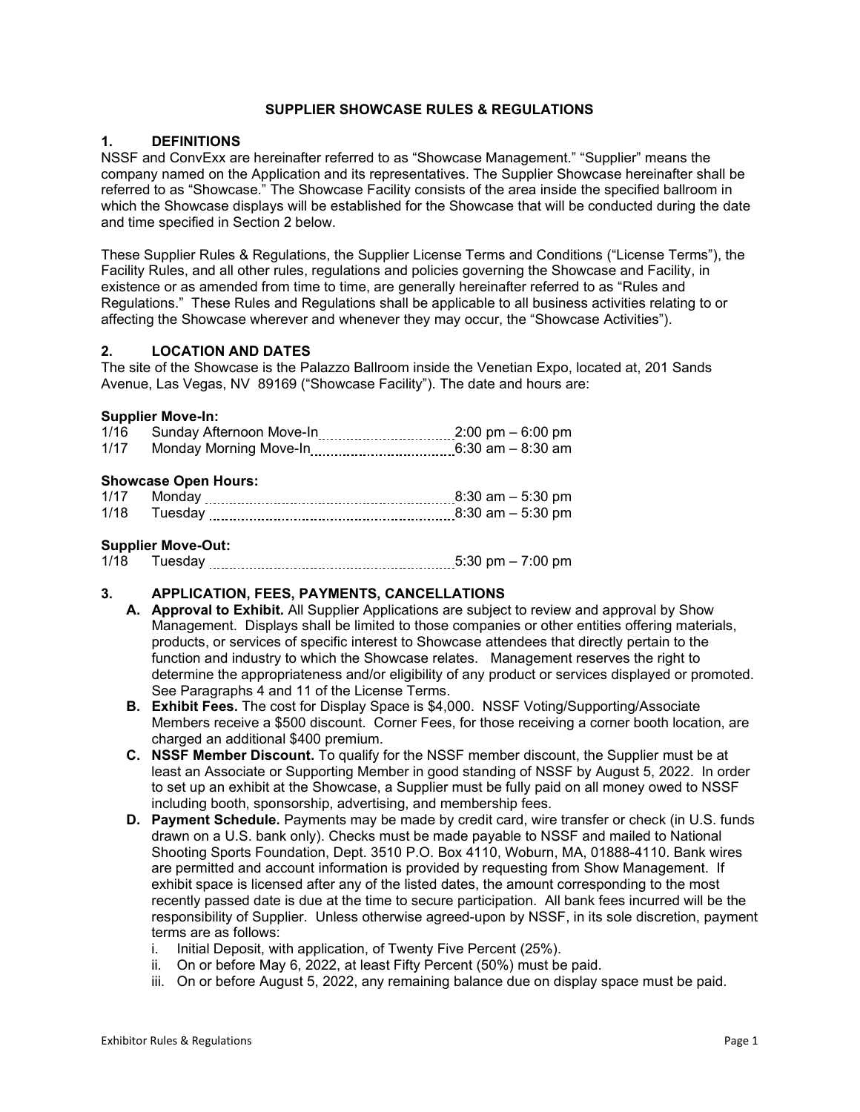## **SUPPLIER SHOWCASE RULES & REGULATIONS**

### **1. DEFINITIONS**

NSSF and ConvExx are hereinafter referred to as "Showcase Management." "Supplier" means the company named on the Application and its representatives. The Supplier Showcase hereinafter shall be referred to as "Showcase." The Showcase Facility consists of the area inside the specified ballroom in which the Showcase displays will be established for the Showcase that will be conducted during the date and time specified in Section 2 below.

These Supplier Rules & Regulations, the Supplier License Terms and Conditions ("License Terms"), the Facility Rules, and all other rules, regulations and policies governing the Showcase and Facility, in existence or as amended from time to time, are generally hereinafter referred to as "Rules and Regulations." These Rules and Regulations shall be applicable to all business activities relating to or affecting the Showcase wherever and whenever they may occur, the "Showcase Activities").

### **2. LOCATION AND DATES**

The site of the Showcase is the Palazzo Ballroom inside the Venetian Expo, located at, 201 Sands Avenue, Las Vegas, NV 89169 ("Showcase Facility"). The date and hours are:

### **Supplier Move-In:**

| 1/16 | Sunday Afternoon Move-In    | $2:00 \text{ pm} - 6:00 \text{ pm}$        |  |
|------|-----------------------------|--------------------------------------------|--|
| 1/17 | Monday Morning Move-In      | $6:30$ am $-8:30$ am                       |  |
|      | <b>Showcase Open Hours:</b> |                                            |  |
|      | $A/47$ $M = -1$             | $0.20 \rightarrow 0.500 \rightarrow 0.500$ |  |

| $1/1$ . |                        |
|---------|------------------------|
| 1/18    | $am = 5:30 \text{ nm}$ |

### **Supplier Move-Out:**

1/18 Tuesday 5:30 pm – 7:00 pm

### **3. APPLICATION, FEES, PAYMENTS, CANCELLATIONS**

- **A. Approval to Exhibit.** All Supplier Applications are subject to review and approval by Show Management. Displays shall be limited to those companies or other entities offering materials, products, or services of specific interest to Showcase attendees that directly pertain to the function and industry to which the Showcase relates. Management reserves the right to determine the appropriateness and/or eligibility of any product or services displayed or promoted. See Paragraphs 4 and 11 of the License Terms.
- **B. Exhibit Fees.** The cost for Display Space is \$4,000. NSSF Voting/Supporting/Associate Members receive a \$500 discount. Corner Fees, for those receiving a corner booth location, are charged an additional \$400 premium.
- **C. NSSF Member Discount.** To qualify for the NSSF member discount, the Supplier must be at least an Associate or Supporting Member in good standing of NSSF by August 5, 2022. In order to set up an exhibit at the Showcase, a Supplier must be fully paid on all money owed to NSSF including booth, sponsorship, advertising, and membership fees.
- **D. Payment Schedule.** Payments may be made by credit card, wire transfer or check (in U.S. funds drawn on a U.S. bank only). Checks must be made payable to NSSF and mailed to National Shooting Sports Foundation, Dept. 3510 P.O. Box 4110, Woburn, MA, 01888-4110. Bank wires are permitted and account information is provided by requesting from Show Management. If exhibit space is licensed after any of the listed dates, the amount corresponding to the most recently passed date is due at the time to secure participation. All bank fees incurred will be the responsibility of Supplier. Unless otherwise agreed-upon by NSSF, in its sole discretion, payment terms are as follows:
	- i. Initial Deposit, with application, of Twenty Five Percent (25%).
	- ii. On or before May 6, 2022, at least Fifty Percent (50%) must be paid.
	- iii. On or before August 5, 2022, any remaining balance due on display space must be paid.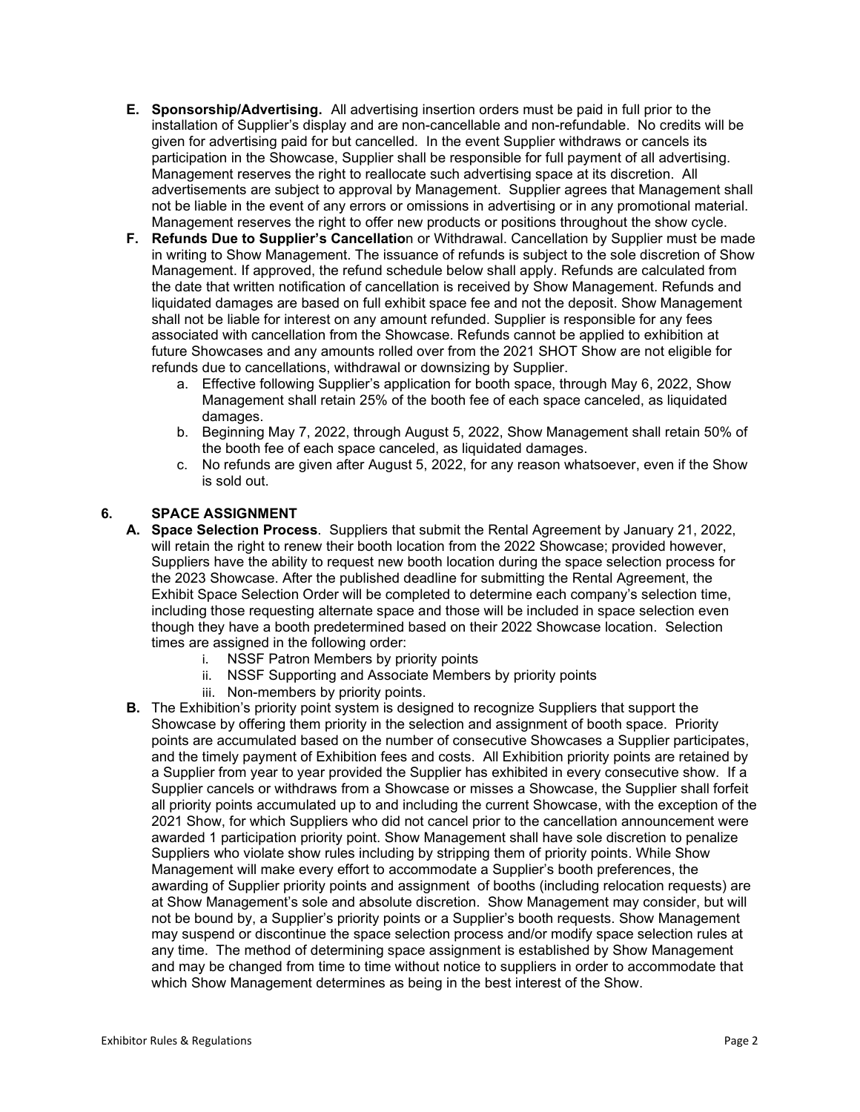- **E. Sponsorship/Advertising.** All advertising insertion orders must be paid in full prior to the installation of Supplier's display and are non-cancellable and non-refundable. No credits will be given for advertising paid for but cancelled. In the event Supplier withdraws or cancels its participation in the Showcase, Supplier shall be responsible for full payment of all advertising. Management reserves the right to reallocate such advertising space at its discretion. All advertisements are subject to approval by Management. Supplier agrees that Management shall not be liable in the event of any errors or omissions in advertising or in any promotional material. Management reserves the right to offer new products or positions throughout the show cycle.
- **F. Refunds Due to Supplier's Cancellatio**n or Withdrawal. Cancellation by Supplier must be made in writing to Show Management. The issuance of refunds is subject to the sole discretion of Show Management. If approved, the refund schedule below shall apply. Refunds are calculated from the date that written notification of cancellation is received by Show Management. Refunds and liquidated damages are based on full exhibit space fee and not the deposit. Show Management shall not be liable for interest on any amount refunded. Supplier is responsible for any fees associated with cancellation from the Showcase. Refunds cannot be applied to exhibition at future Showcases and any amounts rolled over from the 2021 SHOT Show are not eligible for refunds due to cancellations, withdrawal or downsizing by Supplier.
	- a. Effective following Supplier's application for booth space, through May 6, 2022, Show Management shall retain 25% of the booth fee of each space canceled, as liquidated damages.
	- b. Beginning May 7, 2022, through August 5, 2022, Show Management shall retain 50% of the booth fee of each space canceled, as liquidated damages.
	- c. No refunds are given after August 5, 2022, for any reason whatsoever, even if the Show is sold out.

# **6. SPACE ASSIGNMENT**

- **A. Space Selection Process**. Suppliers that submit the Rental Agreement by January 21, 2022, will retain the right to renew their booth location from the 2022 Showcase; provided however, Suppliers have the ability to request new booth location during the space selection process for the 2023 Showcase. After the published deadline for submitting the Rental Agreement, the Exhibit Space Selection Order will be completed to determine each company's selection time, including those requesting alternate space and those will be included in space selection even though they have a booth predetermined based on their 2022 Showcase location. Selection times are assigned in the following order:
	- i. NSSF Patron Members by priority points
	- ii. NSSF Supporting and Associate Members by priority points
	- iii. Non-members by priority points.
- **B.** The Exhibition's priority point system is designed to recognize Suppliers that support the Showcase by offering them priority in the selection and assignment of booth space. Priority points are accumulated based on the number of consecutive Showcases a Supplier participates, and the timely payment of Exhibition fees and costs. All Exhibition priority points are retained by a Supplier from year to year provided the Supplier has exhibited in every consecutive show. If a Supplier cancels or withdraws from a Showcase or misses a Showcase, the Supplier shall forfeit all priority points accumulated up to and including the current Showcase, with the exception of the 2021 Show, for which Suppliers who did not cancel prior to the cancellation announcement were awarded 1 participation priority point. Show Management shall have sole discretion to penalize Suppliers who violate show rules including by stripping them of priority points. While Show Management will make every effort to accommodate a Supplier's booth preferences, the awarding of Supplier priority points and assignment of booths (including relocation requests) are at Show Management's sole and absolute discretion. Show Management may consider, but will not be bound by, a Supplier's priority points or a Supplier's booth requests. Show Management may suspend or discontinue the space selection process and/or modify space selection rules at any time. The method of determining space assignment is established by Show Management and may be changed from time to time without notice to suppliers in order to accommodate that which Show Management determines as being in the best interest of the Show.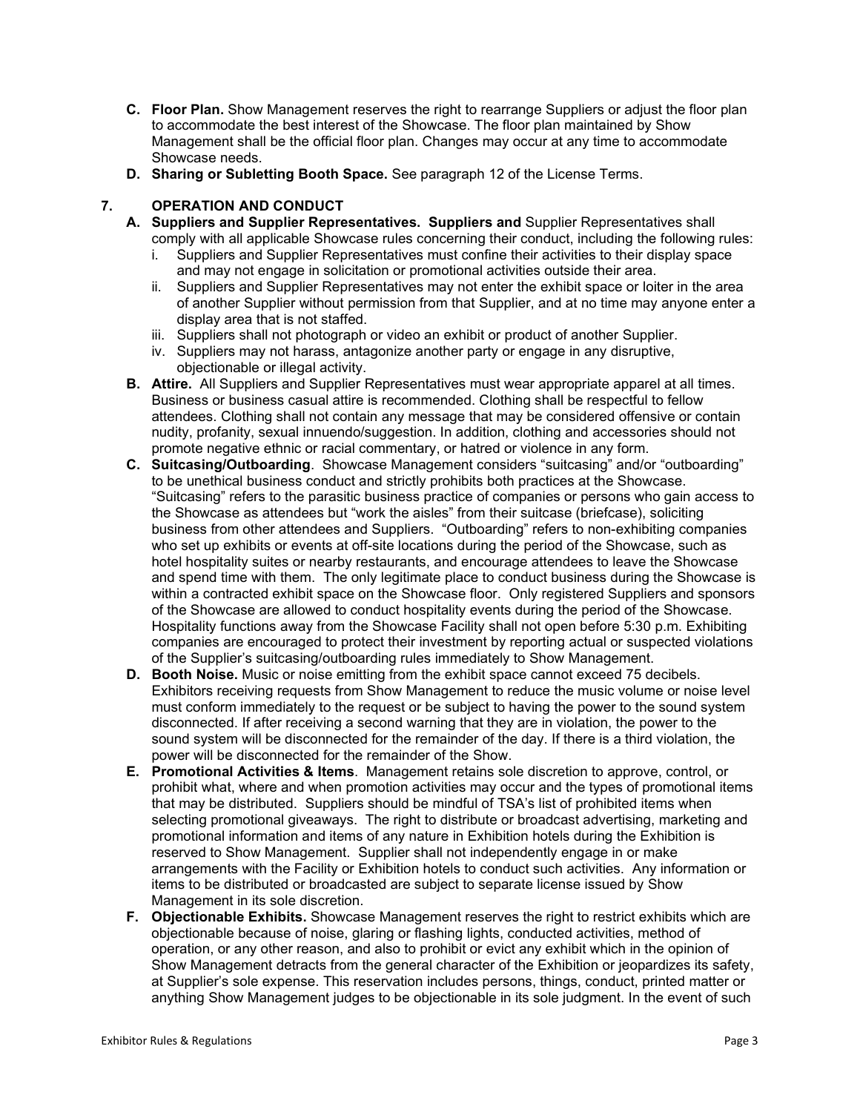- **C. Floor Plan.** Show Management reserves the right to rearrange Suppliers or adjust the floor plan to accommodate the best interest of the Showcase. The floor plan maintained by Show Management shall be the official floor plan. Changes may occur at any time to accommodate Showcase needs.
- **D. Sharing or Subletting Booth Space.** See paragraph 12 of the License Terms.

## **7. OPERATION AND CONDUCT**

- **A. Suppliers and Supplier Representatives. Suppliers and** Supplier Representatives shall comply with all applicable Showcase rules concerning their conduct, including the following rules:
	- i. Suppliers and Supplier Representatives must confine their activities to their display space and may not engage in solicitation or promotional activities outside their area.
	- ii. Suppliers and Supplier Representatives may not enter the exhibit space or loiter in the area of another Supplier without permission from that Supplier, and at no time may anyone enter a display area that is not staffed.
	- iii. Suppliers shall not photograph or video an exhibit or product of another Supplier.
	- iv. Suppliers may not harass, antagonize another party or engage in any disruptive, objectionable or illegal activity.
- **B. Attire.** All Suppliers and Supplier Representatives must wear appropriate apparel at all times. Business or business casual attire is recommended. Clothing shall be respectful to fellow attendees. Clothing shall not contain any message that may be considered offensive or contain nudity, profanity, sexual innuendo/suggestion. In addition, clothing and accessories should not promote negative ethnic or racial commentary, or hatred or violence in any form.
- **C. Suitcasing/Outboarding**. Showcase Management considers "suitcasing" and/or "outboarding" to be unethical business conduct and strictly prohibits both practices at the Showcase. "Suitcasing" refers to the parasitic business practice of companies or persons who gain access to the Showcase as attendees but "work the aisles" from their suitcase (briefcase), soliciting business from other attendees and Suppliers. "Outboarding" refers to non-exhibiting companies who set up exhibits or events at off-site locations during the period of the Showcase, such as hotel hospitality suites or nearby restaurants, and encourage attendees to leave the Showcase and spend time with them. The only legitimate place to conduct business during the Showcase is within a contracted exhibit space on the Showcase floor. Only registered Suppliers and sponsors of the Showcase are allowed to conduct hospitality events during the period of the Showcase. Hospitality functions away from the Showcase Facility shall not open before 5:30 p.m. Exhibiting companies are encouraged to protect their investment by reporting actual or suspected violations of the Supplier's suitcasing/outboarding rules immediately to Show Management.
- **D. Booth Noise.** Music or noise emitting from the exhibit space cannot exceed 75 decibels. Exhibitors receiving requests from Show Management to reduce the music volume or noise level must conform immediately to the request or be subject to having the power to the sound system disconnected. If after receiving a second warning that they are in violation, the power to the sound system will be disconnected for the remainder of the day. If there is a third violation, the power will be disconnected for the remainder of the Show.
- **E. Promotional Activities & Items**. Management retains sole discretion to approve, control, or prohibit what, where and when promotion activities may occur and the types of promotional items that may be distributed. Suppliers should be mindful of TSA's list of prohibited items when selecting promotional giveaways. The right to distribute or broadcast advertising, marketing and promotional information and items of any nature in Exhibition hotels during the Exhibition is reserved to Show Management. Supplier shall not independently engage in or make arrangements with the Facility or Exhibition hotels to conduct such activities. Any information or items to be distributed or broadcasted are subject to separate license issued by Show Management in its sole discretion.
- **F. Objectionable Exhibits.** Showcase Management reserves the right to restrict exhibits which are objectionable because of noise, glaring or flashing lights, conducted activities, method of operation, or any other reason, and also to prohibit or evict any exhibit which in the opinion of Show Management detracts from the general character of the Exhibition or jeopardizes its safety, at Supplier's sole expense. This reservation includes persons, things, conduct, printed matter or anything Show Management judges to be objectionable in its sole judgment. In the event of such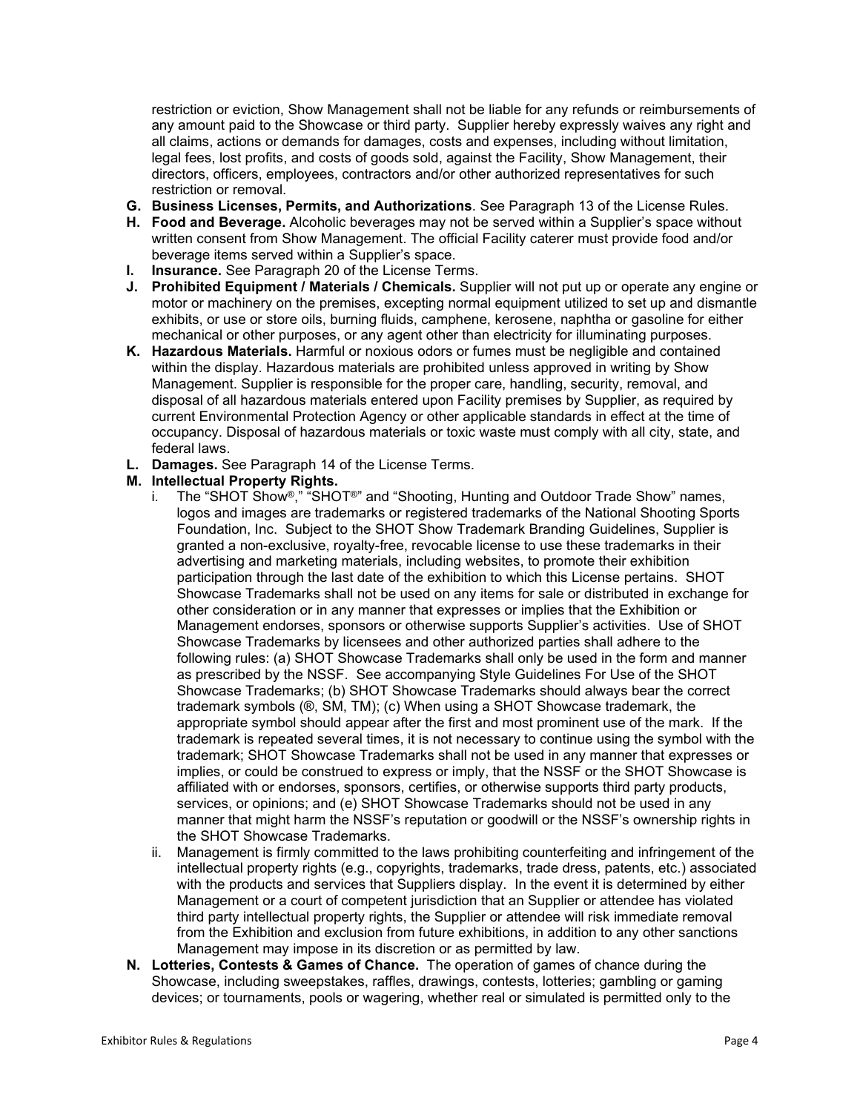restriction or eviction, Show Management shall not be liable for any refunds or reimbursements of any amount paid to the Showcase or third party. Supplier hereby expressly waives any right and all claims, actions or demands for damages, costs and expenses, including without limitation, legal fees, lost profits, and costs of goods sold, against the Facility, Show Management, their directors, officers, employees, contractors and/or other authorized representatives for such restriction or removal.

- **G. Business Licenses, Permits, and Authorizations**. See Paragraph 13 of the License Rules.
- **H. Food and Beverage.** Alcoholic beverages may not be served within a Supplier's space without written consent from Show Management. The official Facility caterer must provide food and/or beverage items served within a Supplier's space.
- **I. Insurance.** See Paragraph 20 of the License Terms.
- **J. Prohibited Equipment / Materials / Chemicals.** Supplier will not put up or operate any engine or motor or machinery on the premises, excepting normal equipment utilized to set up and dismantle exhibits, or use or store oils, burning fluids, camphene, kerosene, naphtha or gasoline for either mechanical or other purposes, or any agent other than electricity for illuminating purposes.
- **K. Hazardous Materials.** Harmful or noxious odors or fumes must be negligible and contained within the display. Hazardous materials are prohibited unless approved in writing by Show Management. Supplier is responsible for the proper care, handling, security, removal, and disposal of all hazardous materials entered upon Facility premises by Supplier, as required by current Environmental Protection Agency or other applicable standards in effect at the time of occupancy. Disposal of hazardous materials or toxic waste must comply with all city, state, and federal laws.
- **L. Damages.** See Paragraph 14 of the License Terms.

### **M. Intellectual Property Rights.**

- i. The "SHOT Show<sup>®</sup>," "SHOT<sup>®</sup>" and "Shooting, Hunting and Outdoor Trade Show" names, logos and images are trademarks or registered trademarks of the National Shooting Sports Foundation, Inc. Subject to the SHOT Show Trademark Branding Guidelines, Supplier is granted a non-exclusive, royalty-free, revocable license to use these trademarks in their advertising and marketing materials, including websites, to promote their exhibition participation through the last date of the exhibition to which this License pertains. SHOT Showcase Trademarks shall not be used on any items for sale or distributed in exchange for other consideration or in any manner that expresses or implies that the Exhibition or Management endorses, sponsors or otherwise supports Supplier's activities. Use of SHOT Showcase Trademarks by licensees and other authorized parties shall adhere to the following rules: (a) SHOT Showcase Trademarks shall only be used in the form and manner as prescribed by the NSSF. See accompanying Style Guidelines For Use of the SHOT Showcase Trademarks; (b) SHOT Showcase Trademarks should always bear the correct trademark symbols (®, SM, TM); (c) When using a SHOT Showcase trademark, the appropriate symbol should appear after the first and most prominent use of the mark. If the trademark is repeated several times, it is not necessary to continue using the symbol with the trademark; SHOT Showcase Trademarks shall not be used in any manner that expresses or implies, or could be construed to express or imply, that the NSSF or the SHOT Showcase is affiliated with or endorses, sponsors, certifies, or otherwise supports third party products, services, or opinions; and (e) SHOT Showcase Trademarks should not be used in any manner that might harm the NSSF's reputation or goodwill or the NSSF's ownership rights in the SHOT Showcase Trademarks.
- ii. Management is firmly committed to the laws prohibiting counterfeiting and infringement of the intellectual property rights (e.g., copyrights, trademarks, trade dress, patents, etc.) associated with the products and services that Suppliers display. In the event it is determined by either Management or a court of competent jurisdiction that an Supplier or attendee has violated third party intellectual property rights, the Supplier or attendee will risk immediate removal from the Exhibition and exclusion from future exhibitions, in addition to any other sanctions Management may impose in its discretion or as permitted by law.
- **N. Lotteries, Contests & Games of Chance.** The operation of games of chance during the Showcase, including sweepstakes, raffles, drawings, contests, lotteries; gambling or gaming devices; or tournaments, pools or wagering, whether real or simulated is permitted only to the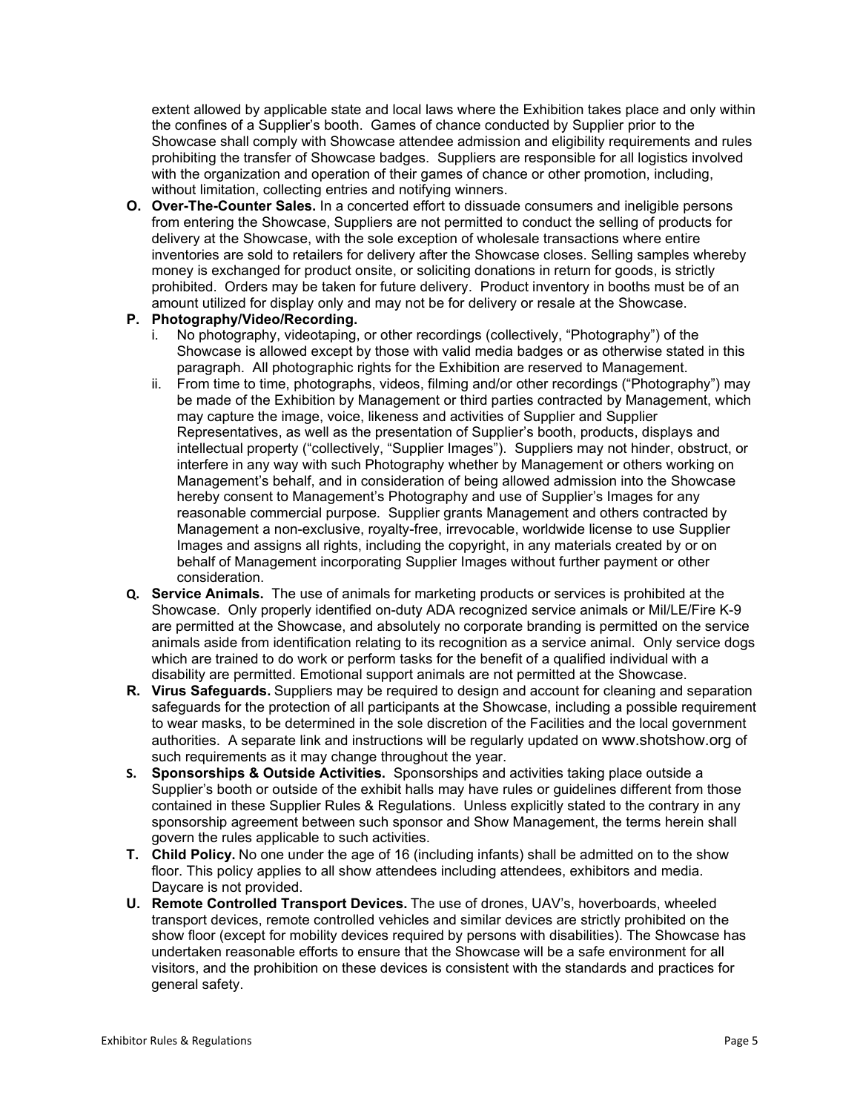extent allowed by applicable state and local laws where the Exhibition takes place and only within the confines of a Supplier's booth. Games of chance conducted by Supplier prior to the Showcase shall comply with Showcase attendee admission and eligibility requirements and rules prohibiting the transfer of Showcase badges. Suppliers are responsible for all logistics involved with the organization and operation of their games of chance or other promotion, including, without limitation, collecting entries and notifying winners.

**O. Over-The-Counter Sales.** In a concerted effort to dissuade consumers and ineligible persons from entering the Showcase, Suppliers are not permitted to conduct the selling of products for delivery at the Showcase, with the sole exception of wholesale transactions where entire inventories are sold to retailers for delivery after the Showcase closes. Selling samples whereby money is exchanged for product onsite, or soliciting donations in return for goods, is strictly prohibited. Orders may be taken for future delivery. Product inventory in booths must be of an amount utilized for display only and may not be for delivery or resale at the Showcase.

### **P. Photography/Video/Recording.**

- i. No photography, videotaping, or other recordings (collectively, "Photography") of the Showcase is allowed except by those with valid media badges or as otherwise stated in this paragraph. All photographic rights for the Exhibition are reserved to Management.
- ii. From time to time, photographs, videos, filming and/or other recordings ("Photography") may be made of the Exhibition by Management or third parties contracted by Management, which may capture the image, voice, likeness and activities of Supplier and Supplier Representatives, as well as the presentation of Supplier's booth, products, displays and intellectual property ("collectively, "Supplier Images"). Suppliers may not hinder, obstruct, or interfere in any way with such Photography whether by Management or others working on Management's behalf, and in consideration of being allowed admission into the Showcase hereby consent to Management's Photography and use of Supplier's Images for any reasonable commercial purpose. Supplier grants Management and others contracted by Management a non-exclusive, royalty-free, irrevocable, worldwide license to use Supplier Images and assigns all rights, including the copyright, in any materials created by or on behalf of Management incorporating Supplier Images without further payment or other consideration.
- **Q. Service Animals.** The use of animals for marketing products or services is prohibited at the Showcase. Only properly identified on-duty ADA recognized service animals or Mil/LE/Fire K-9 are permitted at the Showcase, and absolutely no corporate branding is permitted on the service animals aside from identification relating to its recognition as a service animal. Only service dogs which are trained to do work or perform tasks for the benefit of a qualified individual with a disability are permitted. Emotional support animals are not permitted at the Showcase.
- **R. Virus Safeguards.** Suppliers may be required to design and account for cleaning and separation safeguards for the protection of all participants at the Showcase, including a possible requirement to wear masks, to be determined in the sole discretion of the Facilities and the local government authorities. A separate link and instructions will be regularly updated on [www.shotshow.org](http://www.shotshow.org/) of such requirements as it may change throughout the year.
- **S. Sponsorships & Outside Activities.** Sponsorships and activities taking place outside a Supplier's booth or outside of the exhibit halls may have rules or guidelines different from those contained in these Supplier Rules & Regulations. Unless explicitly stated to the contrary in any sponsorship agreement between such sponsor and Show Management, the terms herein shall govern the rules applicable to such activities.
- **T. Child Policy.** No one under the age of 16 (including infants) shall be admitted on to the show floor. This policy applies to all show attendees including attendees, exhibitors and media. Daycare is not provided.
- **U. Remote Controlled Transport Devices.** The use of drones, UAV's, hoverboards, wheeled transport devices, remote controlled vehicles and similar devices are strictly prohibited on the show floor (except for mobility devices required by persons with disabilities). The Showcase has undertaken reasonable efforts to ensure that the Showcase will be a safe environment for all visitors, and the prohibition on these devices is consistent with the standards and practices for general safety.